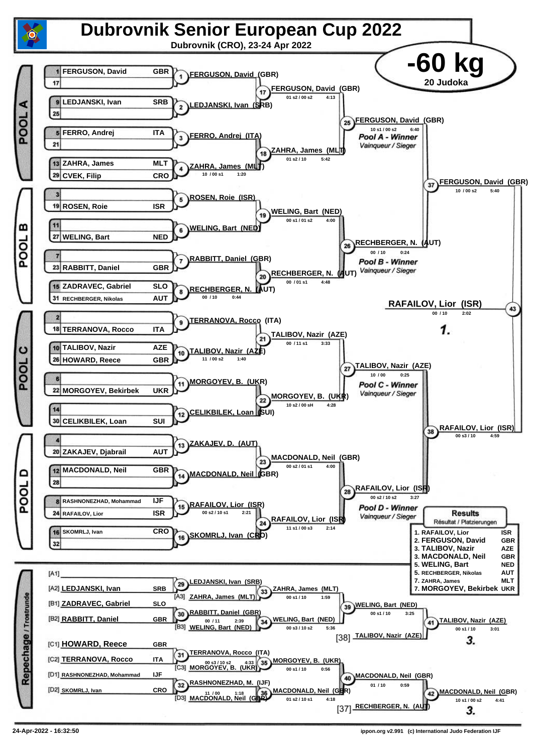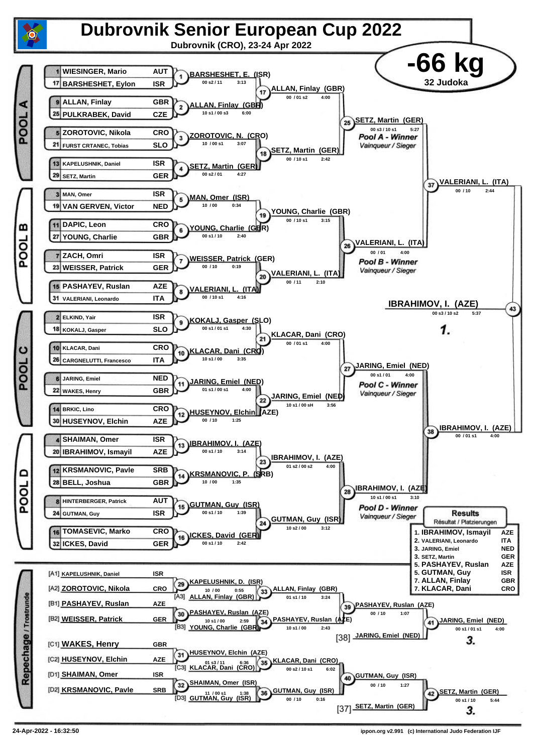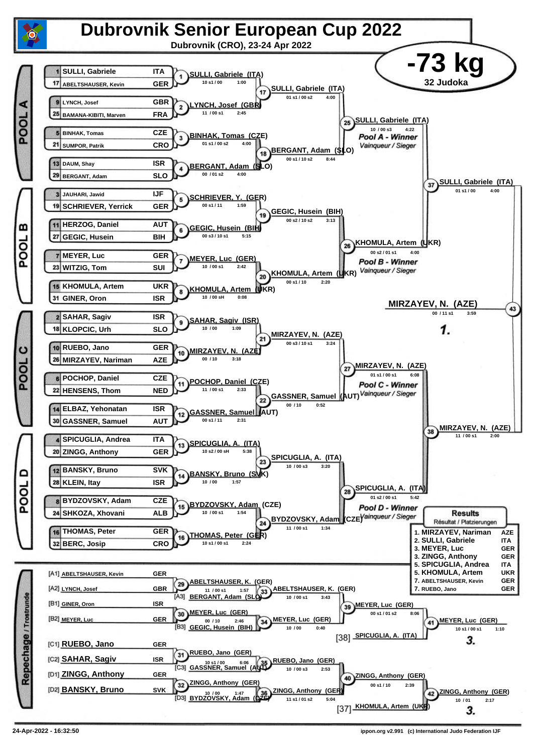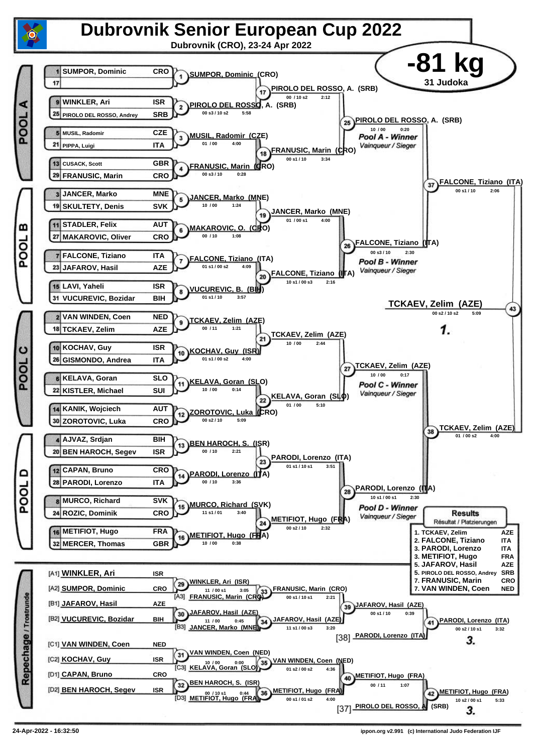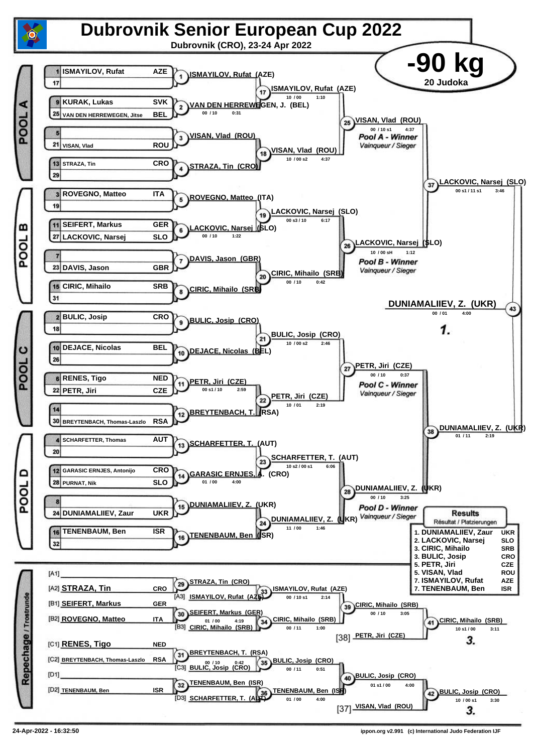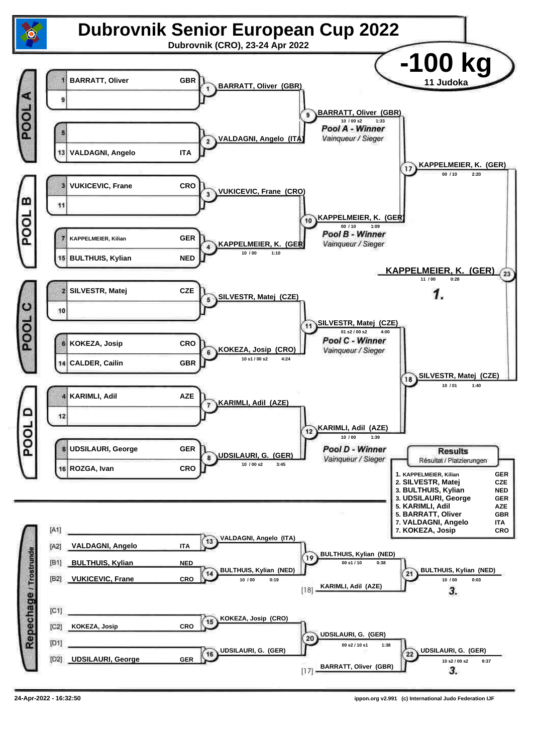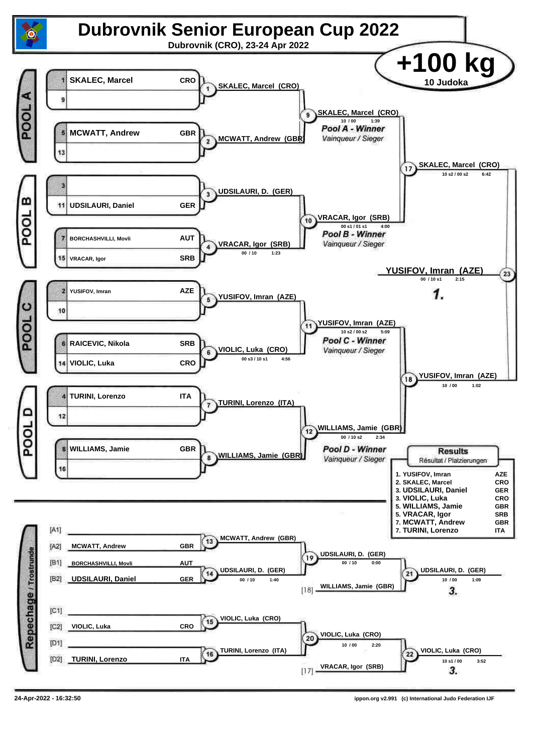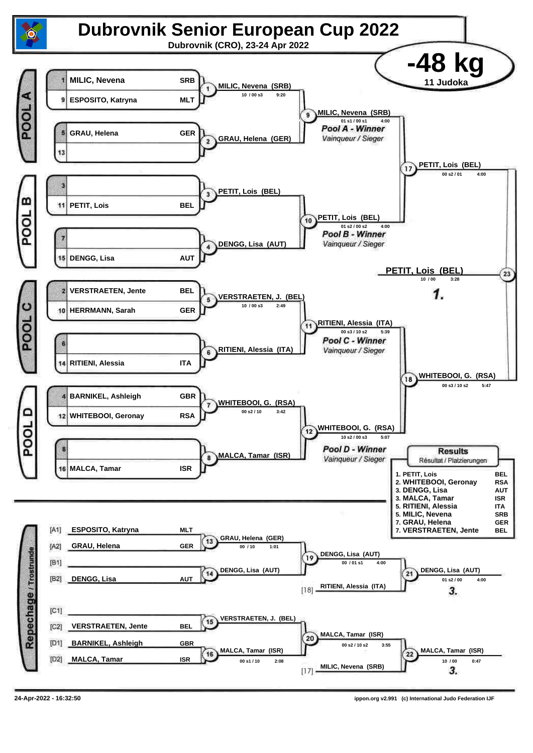![](_page_7_Figure_0.jpeg)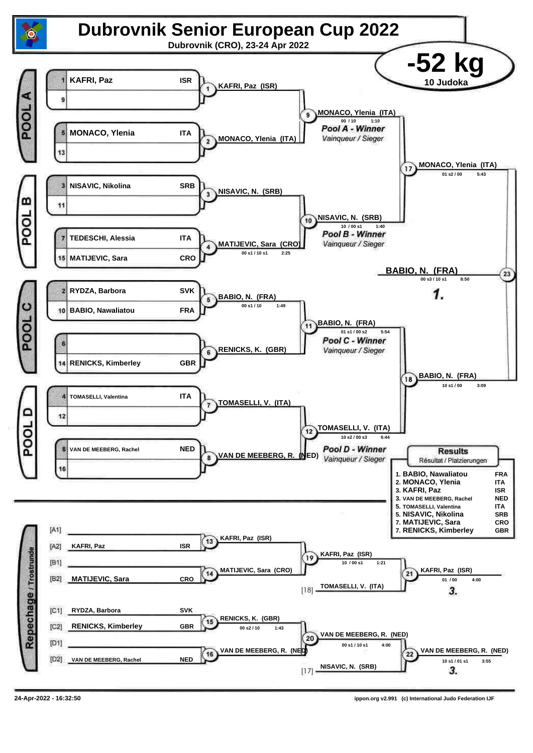![](_page_8_Figure_0.jpeg)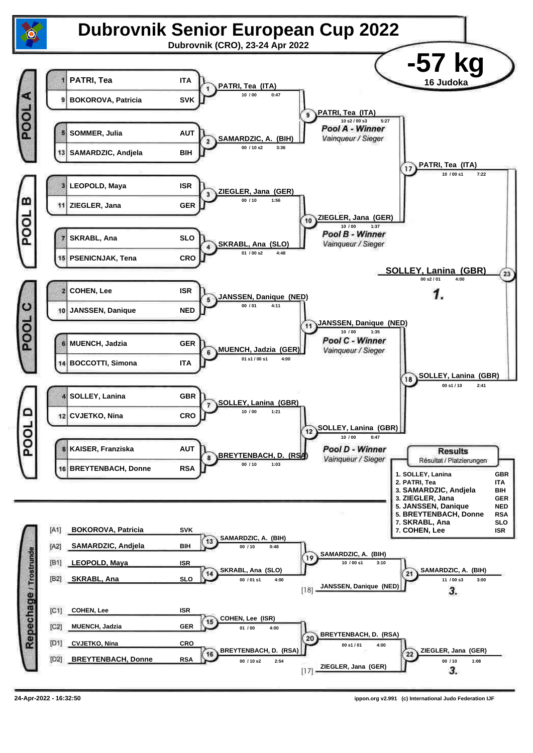![](_page_9_Figure_0.jpeg)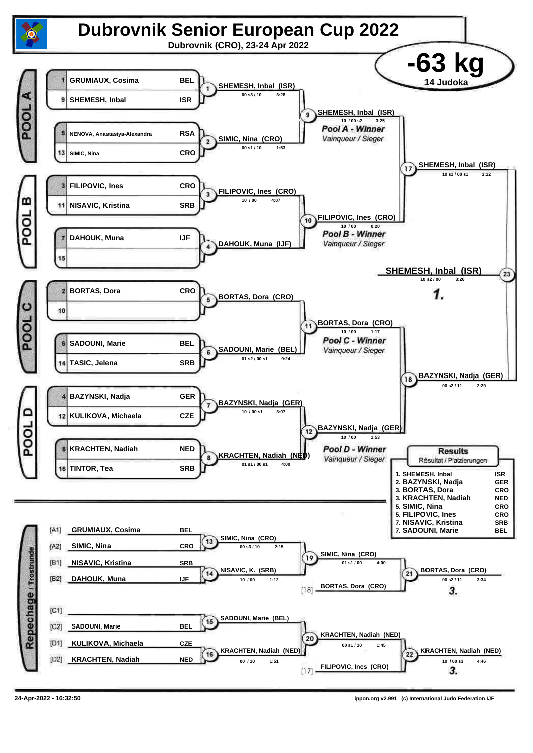![](_page_10_Figure_0.jpeg)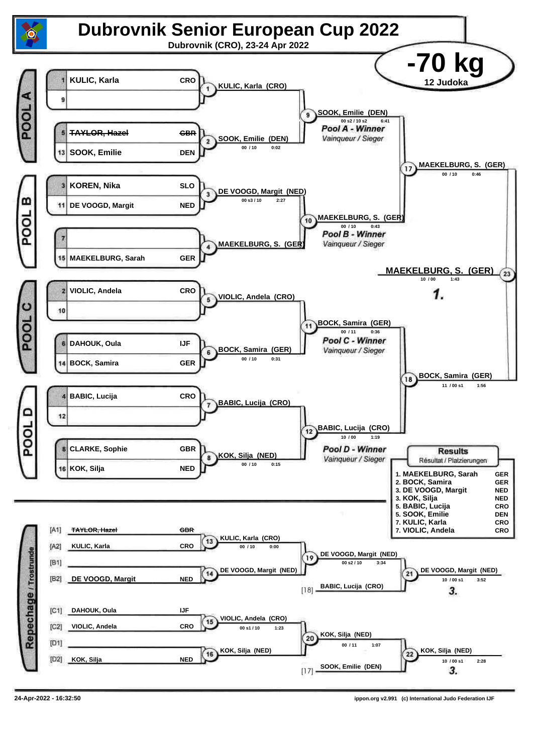![](_page_11_Figure_0.jpeg)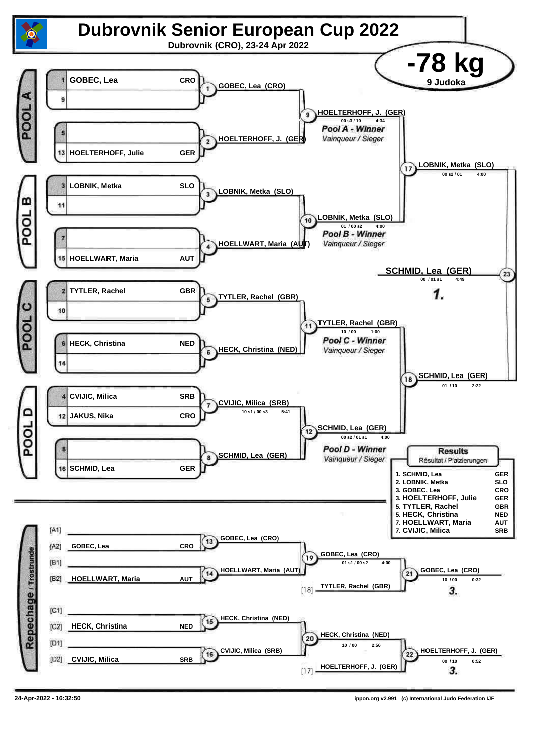![](_page_12_Figure_0.jpeg)